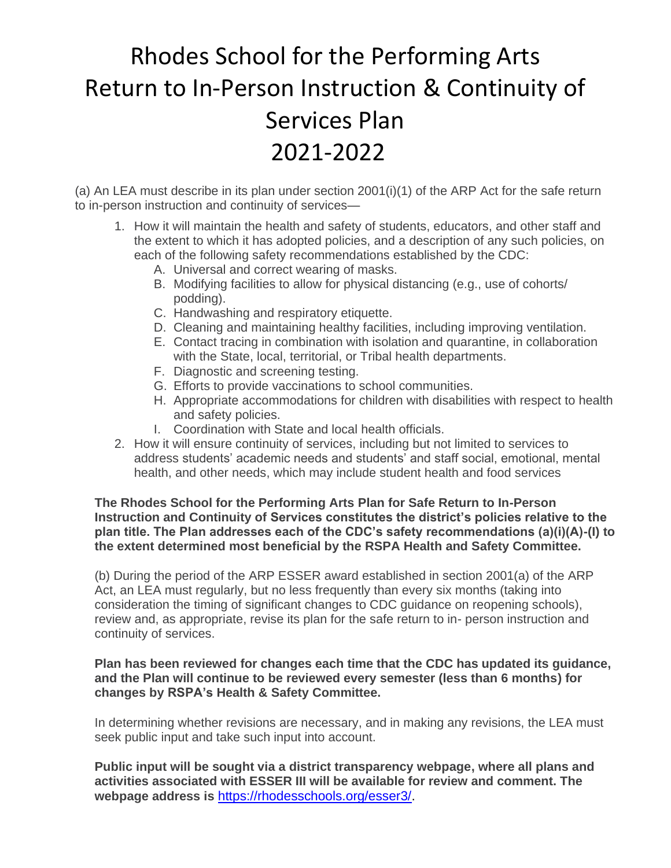# Rhodes School for the Performing Arts Return to In-Person Instruction & Continuity of Services Plan 2021-2022

(a) An LEA must describe in its plan under section 2001(i)(1) of the ARP Act for the safe return to in-person instruction and continuity of services—

- 1. How it will maintain the health and safety of students, educators, and other staff and the extent to which it has adopted policies, and a description of any such policies, on each of the following safety recommendations established by the CDC:
	- A. Universal and correct wearing of masks.
	- B. Modifying facilities to allow for physical distancing (e.g., use of cohorts/ podding).
	- C. Handwashing and respiratory etiquette.
	- D. Cleaning and maintaining healthy facilities, including improving ventilation.
	- E. Contact tracing in combination with isolation and quarantine, in collaboration with the State, local, territorial, or Tribal health departments.
	- F. Diagnostic and screening testing.
	- G. Efforts to provide vaccinations to school communities.
	- H. Appropriate accommodations for children with disabilities with respect to health and safety policies.
	- I. Coordination with State and local health officials.
- 2. How it will ensure continuity of services, including but not limited to services to address students' academic needs and students' and staff social, emotional, mental health, and other needs, which may include student health and food services

#### **The Rhodes School for the Performing Arts Plan for Safe Return to In-Person Instruction and Continuity of Services constitutes the district's policies relative to the plan title. The Plan addresses each of the CDC's safety recommendations (a)(i)(A)-(I) to the extent determined most beneficial by the RSPA Health and Safety Committee.**

(b) During the period of the ARP ESSER award established in section 2001(a) of the ARP Act, an LEA must regularly, but no less frequently than every six months (taking into consideration the timing of significant changes to CDC guidance on reopening schools), review and, as appropriate, revise its plan for the safe return to in- person instruction and continuity of services.

#### **Plan has been reviewed for changes each time that the CDC has updated its guidance, and the Plan will continue to be reviewed every semester (less than 6 months) for changes by RSPA's Health & Safety Committee.**

In determining whether revisions are necessary, and in making any revisions, the LEA must seek public input and take such input into account.

**Public input will be sought via a district transparency webpage, where all plans and activities associated with ESSER III will be available for review and comment. The webpage address is** [https://rhodesschools.org/esser3/.](https://rhodesschools.org/esser3/)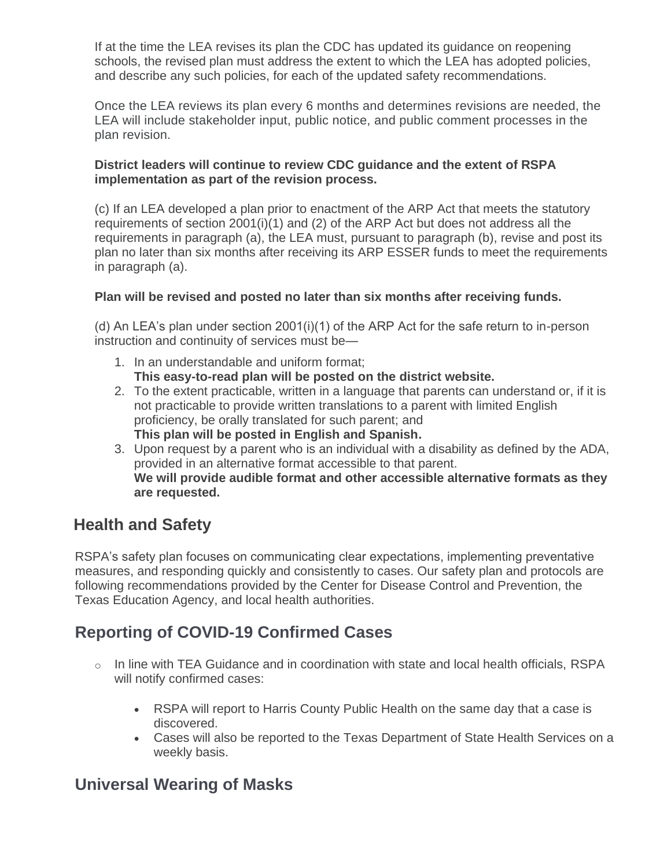If at the time the LEA revises its plan the CDC has updated its guidance on reopening schools, the revised plan must address the extent to which the LEA has adopted policies, and describe any such policies, for each of the updated safety recommendations.

Once the LEA reviews its plan every 6 months and determines revisions are needed, the LEA will include stakeholder input, public notice, and public comment processes in the plan revision.

#### **District leaders will continue to review CDC guidance and the extent of RSPA implementation as part of the revision process.**

(c) If an LEA developed a plan prior to enactment of the ARP Act that meets the statutory requirements of section  $2001(i)(1)$  and  $(2)$  of the ARP Act but does not address all the requirements in paragraph (a), the LEA must, pursuant to paragraph (b), revise and post its plan no later than six months after receiving its ARP ESSER funds to meet the requirements in paragraph (a).

#### **Plan will be revised and posted no later than six months after receiving funds.**

(d) An LEA's plan under section 2001(i)(1) of the ARP Act for the safe return to in-person instruction and continuity of services must be—

- 1. In an understandable and uniform format; **This easy-to-read plan will be posted on the district website.**
- 2. To the extent practicable, written in a language that parents can understand or, if it is not practicable to provide written translations to a parent with limited English proficiency, be orally translated for such parent; and **This plan will be posted in English and Spanish.**
- 3. Upon request by a parent who is an individual with a disability as defined by the ADA, provided in an alternative format accessible to that parent. **We will provide audible format and other accessible alternative formats as they are requested.**

# **Health and Safety**

RSPA's safety plan focuses on communicating clear expectations, implementing preventative measures, and responding quickly and consistently to cases. Our safety plan and protocols are following recommendations provided by the Center for Disease Control and Prevention, the Texas Education Agency, and local health authorities.

# **Reporting of COVID-19 Confirmed Cases**

- o In line with TEA Guidance and in coordination with state and local health officials, RSPA will notify confirmed cases:
	- RSPA will report to Harris County Public Health on the same day that a case is discovered.
	- Cases will also be reported to the Texas Department of State Health Services on a weekly basis.

# **Universal Wearing of Masks**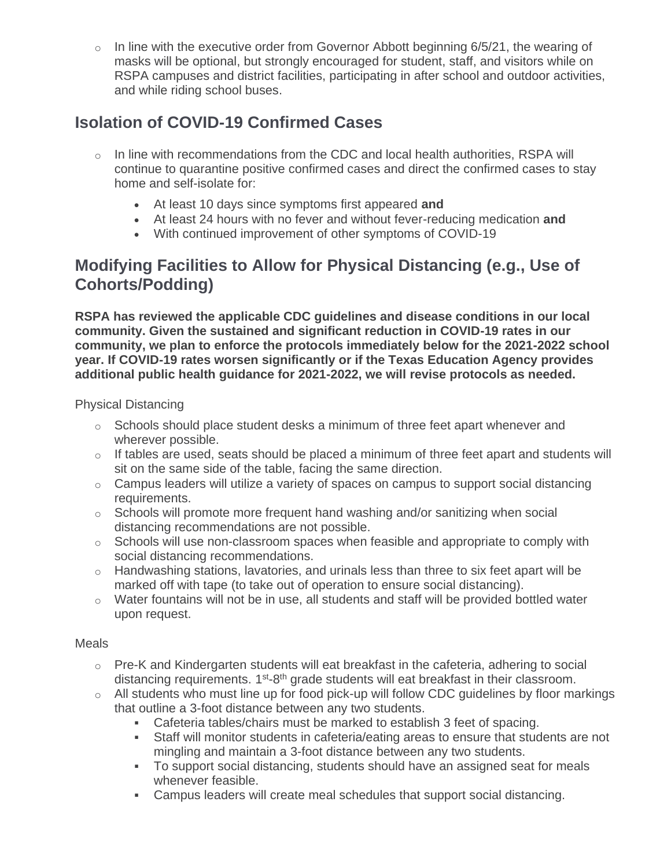o In line with the executive order from Governor Abbott beginning 6/5/21, the wearing of masks will be optional, but strongly encouraged for student, staff, and visitors while on RSPA campuses and district facilities, participating in after school and outdoor activities, and while riding school buses.

# **Isolation of COVID-19 Confirmed Cases**

- $\circ$  In line with recommendations from the CDC and local health authorities, RSPA will continue to quarantine positive confirmed cases and direct the confirmed cases to stay home and self-isolate for:
	- At least 10 days since symptoms first appeared **and**
	- At least 24 hours with no fever and without fever-reducing medication **and**
	- With continued improvement of other symptoms of COVID-19

# **Modifying Facilities to Allow for Physical Distancing (e.g., Use of Cohorts/Podding)**

**RSPA has reviewed the applicable CDC guidelines and disease conditions in our local community. Given the sustained and significant reduction in COVID-19 rates in our community, we plan to enforce the protocols immediately below for the 2021-2022 school year. If COVID-19 rates worsen significantly or if the Texas Education Agency provides additional public health guidance for 2021-2022, we will revise protocols as needed.** 

#### Physical Distancing

- $\circ$  Schools should place student desks a minimum of three feet apart whenever and wherever possible.
- $\circ$  If tables are used, seats should be placed a minimum of three feet apart and students will sit on the same side of the table, facing the same direction.
- o Campus leaders will utilize a variety of spaces on campus to support social distancing requirements.
- o Schools will promote more frequent hand washing and/or sanitizing when social distancing recommendations are not possible.
- o Schools will use non-classroom spaces when feasible and appropriate to comply with social distancing recommendations.
- $\circ$  Handwashing stations, lavatories, and urinals less than three to six feet apart will be marked off with tape (to take out of operation to ensure social distancing).
- $\circ$  Water fountains will not be in use, all students and staff will be provided bottled water upon request.

#### Meals

- o Pre-K and Kindergarten students will eat breakfast in the cafeteria, adhering to social distancing requirements. 1<sup>st-8th</sup> grade students will eat breakfast in their classroom.
- o All students who must line up for food pick-up will follow CDC guidelines by floor markings that outline a 3-foot distance between any two students.
	- Cafeteria tables/chairs must be marked to establish 3 feet of spacing.
	- Staff will monitor students in cafeteria/eating areas to ensure that students are not mingling and maintain a 3-foot distance between any two students.
	- To support social distancing, students should have an assigned seat for meals whenever feasible.
	- Campus leaders will create meal schedules that support social distancing.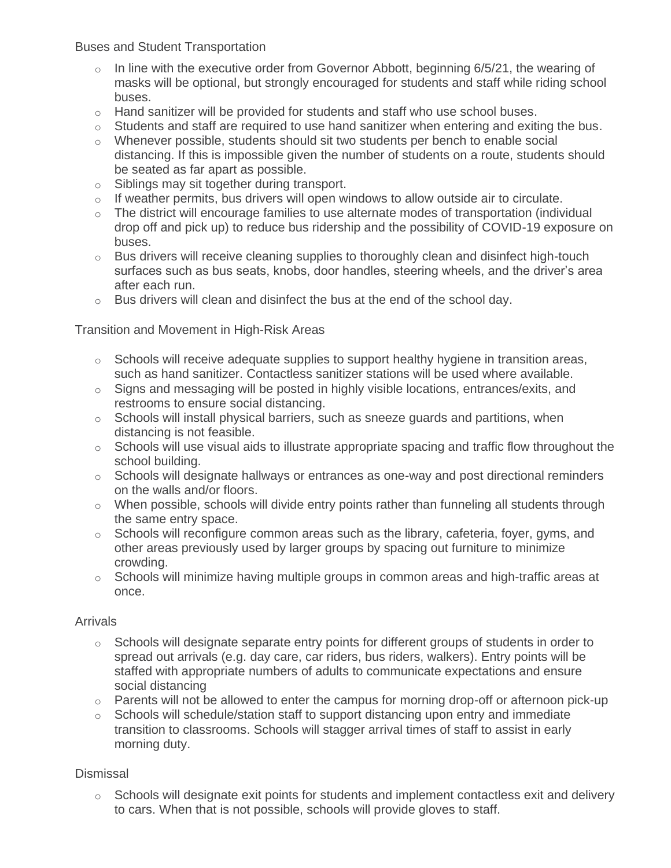Buses and Student Transportation

- $\circ$  In line with the executive order from Governor Abbott, beginning 6/5/21, the wearing of masks will be optional, but strongly encouraged for students and staff while riding school buses.
- $\circ$  Hand sanitizer will be provided for students and staff who use school buses.
- o Students and staff are required to use hand sanitizer when entering and exiting the bus.
- o Whenever possible, students should sit two students per bench to enable social distancing. If this is impossible given the number of students on a route, students should be seated as far apart as possible.
- o Siblings may sit together during transport.
- o If weather permits, bus drivers will open windows to allow outside air to circulate.
- o The district will encourage families to use alternate modes of transportation (individual drop off and pick up) to reduce bus ridership and the possibility of COVID-19 exposure on buses.
- o Bus drivers will receive cleaning supplies to thoroughly clean and disinfect high-touch surfaces such as bus seats, knobs, door handles, steering wheels, and the driver's area after each run.
- o Bus drivers will clean and disinfect the bus at the end of the school day.

Transition and Movement in High-Risk Areas

- $\circ$  Schools will receive adequate supplies to support healthy hygiene in transition areas, such as hand sanitizer. Contactless sanitizer stations will be used where available.
- o Signs and messaging will be posted in highly visible locations, entrances/exits, and restrooms to ensure social distancing.
- o Schools will install physical barriers, such as sneeze guards and partitions, when distancing is not feasible.
- o Schools will use visual aids to illustrate appropriate spacing and traffic flow throughout the school building.
- o Schools will designate hallways or entrances as one-way and post directional reminders on the walls and/or floors.
- $\circ$  When possible, schools will divide entry points rather than funneling all students through the same entry space.
- $\circ$  Schools will reconfigure common areas such as the library, cafeteria, foyer, gyms, and other areas previously used by larger groups by spacing out furniture to minimize crowding.
- $\circ$  Schools will minimize having multiple groups in common areas and high-traffic areas at once.

#### **Arrivals**

- $\circ$  Schools will designate separate entry points for different groups of students in order to spread out arrivals (e.g. day care, car riders, bus riders, walkers). Entry points will be staffed with appropriate numbers of adults to communicate expectations and ensure social distancing
- $\circ$  Parents will not be allowed to enter the campus for morning drop-off or afternoon pick-up
- $\circ$  Schools will schedule/station staff to support distancing upon entry and immediate transition to classrooms. Schools will stagger arrival times of staff to assist in early morning duty.

#### **Dismissal**

 $\circ$  Schools will designate exit points for students and implement contactless exit and delivery to cars. When that is not possible, schools will provide gloves to staff.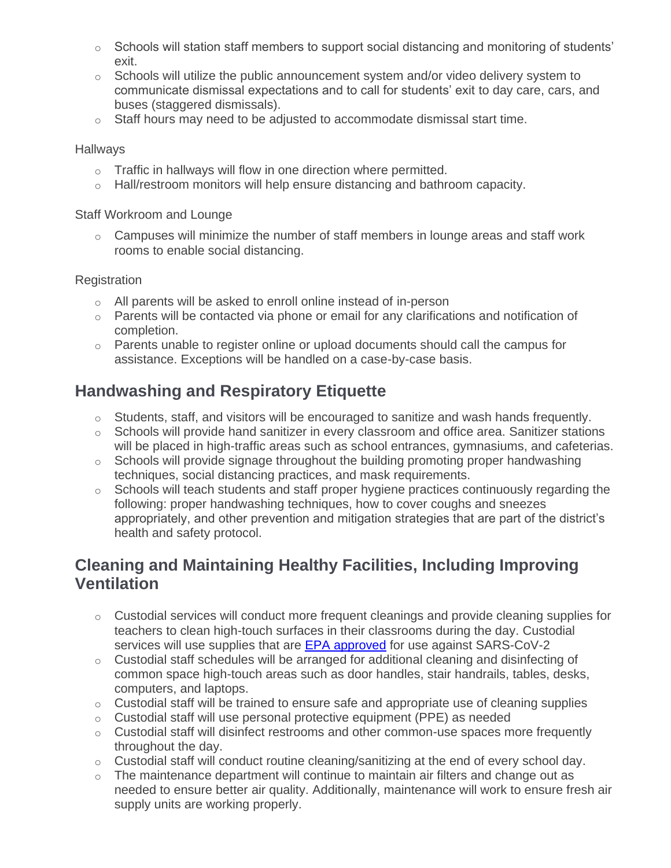- $\circ$  Schools will station staff members to support social distancing and monitoring of students' exit.
- $\circ$  Schools will utilize the public announcement system and/or video delivery system to communicate dismissal expectations and to call for students' exit to day care, cars, and buses (staggered dismissals).
- $\circ$  Staff hours may need to be adjusted to accommodate dismissal start time.

#### **Hallways**

- $\circ$  Traffic in hallways will flow in one direction where permitted.
- $\circ$  Hall/restroom monitors will help ensure distancing and bathroom capacity.

#### Staff Workroom and Lounge

o Campuses will minimize the number of staff members in lounge areas and staff work rooms to enable social distancing.

#### **Registration**

- o All parents will be asked to enroll online instead of in-person
- $\circ$  Parents will be contacted via phone or email for any clarifications and notification of completion.
- o Parents unable to register online or upload documents should call the campus for assistance. Exceptions will be handled on a case-by-case basis.

# **Handwashing and Respiratory Etiquette**

- o Students, staff, and visitors will be encouraged to sanitize and wash hands frequently.
- $\circ$  Schools will provide hand sanitizer in every classroom and office area. Sanitizer stations will be placed in high-traffic areas such as school entrances, gymnasiums, and cafeterias.
- $\circ$  Schools will provide signage throughout the building promoting proper handwashing techniques, social distancing practices, and mask requirements.
- o Schools will teach students and staff proper hygiene practices continuously regarding the following: proper handwashing techniques, how to cover coughs and sneezes appropriately, and other prevention and mitigation strategies that are part of the district's health and safety protocol.

# **Cleaning and Maintaining Healthy Facilities, Including Improving Ventilation**

- $\circ$  Custodial services will conduct more frequent cleanings and provide cleaning supplies for teachers to clean high-touch surfaces in their classrooms during the day. Custodial services will use supplies that are [EPA approved](https://www.epa.gov/pesticide-registration/list-n-disinfectants-use-against-sars-cov-2-covid-19) for use against SARS-CoV-2
- o Custodial staff schedules will be arranged for additional cleaning and disinfecting of common space high-touch areas such as door handles, stair handrails, tables, desks, computers, and laptops.
- $\circ$  Custodial staff will be trained to ensure safe and appropriate use of cleaning supplies
- o Custodial staff will use personal protective equipment (PPE) as needed
- o Custodial staff will disinfect restrooms and other common-use spaces more frequently throughout the day.
- o Custodial staff will conduct routine cleaning/sanitizing at the end of every school day.
- o The maintenance department will continue to maintain air filters and change out as needed to ensure better air quality. Additionally, maintenance will work to ensure fresh air supply units are working properly.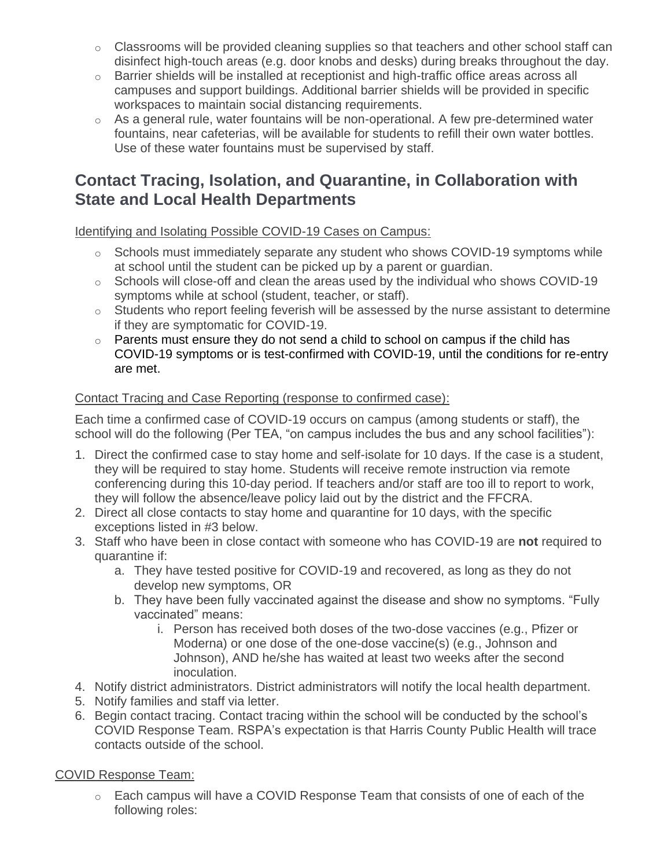- o Classrooms will be provided cleaning supplies so that teachers and other school staff can disinfect high-touch areas (e.g. door knobs and desks) during breaks throughout the day.
- o Barrier shields will be installed at receptionist and high-traffic office areas across all campuses and support buildings. Additional barrier shields will be provided in specific workspaces to maintain social distancing requirements.
- $\circ$  As a general rule, water fountains will be non-operational. A few pre-determined water fountains, near cafeterias, will be available for students to refill their own water bottles. Use of these water fountains must be supervised by staff.

### **Contact Tracing, Isolation, and Quarantine, in Collaboration with State and Local Health Departments**

Identifying and Isolating Possible COVID-19 Cases on Campus:

- o Schools must immediately separate any student who shows COVID-19 symptoms while at school until the student can be picked up by a parent or guardian.
- $\circ$  Schools will close-off and clean the areas used by the individual who shows COVID-19 symptoms while at school (student, teacher, or staff).
- $\circ$  Students who report feeling feverish will be assessed by the nurse assistant to determine if they are symptomatic for COVID-19.
- o Parents must ensure they do not send a child to school on campus if the child has COVID-19 symptoms or is test-confirmed with COVID-19, until the conditions for re-entry are met.

#### Contact Tracing and Case Reporting (response to confirmed case):

Each time a confirmed case of COVID-19 occurs on campus (among students or staff), the school will do the following (Per TEA, "on campus includes the bus and any school facilities"):

- 1. Direct the confirmed case to stay home and self-isolate for 10 days. If the case is a student, they will be required to stay home. Students will receive remote instruction via remote conferencing during this 10-day period. If teachers and/or staff are too ill to report to work, they will follow the absence/leave policy laid out by the district and the FFCRA.
- 2. Direct all close contacts to stay home and quarantine for 10 days, with the specific exceptions listed in #3 below.
- 3. Staff who have been in close contact with someone who has COVID-19 are **not** required to quarantine if:
	- a. They have tested positive for COVID-19 and recovered, as long as they do not develop new symptoms, OR
	- b. They have been fully vaccinated against the disease and show no symptoms. "Fully vaccinated" means:
		- i. Person has received both doses of the two-dose vaccines (e.g., Pfizer or Moderna) or one dose of the one-dose vaccine(s) (e.g., Johnson and Johnson), AND he/she has waited at least two weeks after the second inoculation.
- 4. Notify district administrators. District administrators will notify the local health department.
- 5. Notify families and staff via letter.
- 6. Begin contact tracing. Contact tracing within the school will be conducted by the school's COVID Response Team. RSPA's expectation is that Harris County Public Health will trace contacts outside of the school.

#### COVID Response Team:

o Each campus will have a COVID Response Team that consists of one of each of the following roles: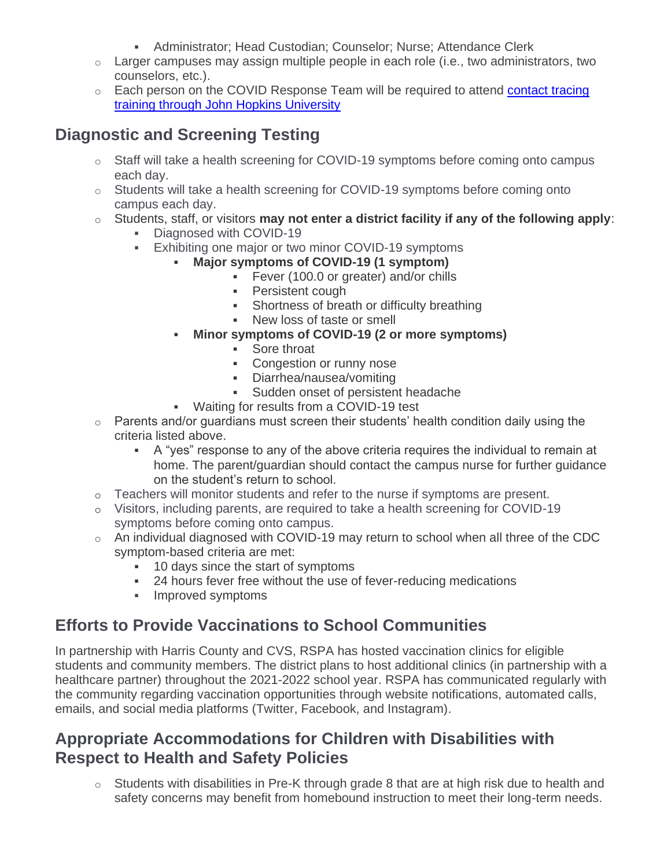- **EXEDENT Administrator; Head Custodian; Counselor; Nurse; Attendance Clerk**
- o Larger campuses may assign multiple people in each role (i.e., two administrators, two counselors, etc.).
- o Each person on the COVID Response Team will be required to attend [contact tracing](https://coronavirus.jhu.edu/contact-tracing)  [training through John Hopkins University](https://coronavirus.jhu.edu/contact-tracing)

# **Diagnostic and Screening Testing**

- o Staff will take a health screening for COVID-19 symptoms before coming onto campus each day.
- o Students will take a health screening for COVID-19 symptoms before coming onto campus each day.
- o Students, staff, or visitors **may not enter a district facility if any of the following apply**:
	- Diagnosed with COVID-19
	- **Exhibiting one major or two minor COVID-19 symptoms** 
		- **Major symptoms of COVID-19 (1 symptom)**
			- **•** Fever (100.0 or greater) and/or chills
			- Persistent cough
			- **Shortness of breath or difficulty breathing**
			- New loss of taste or smell
		- **Minor symptoms of COVID-19 (2 or more symptoms)**
			- Sore throat
			- Congestion or runny nose
			- Diarrhea/nausea/vomiting
			- Sudden onset of persistent headache
		- Waiting for results from a COVID-19 test
- $\circ$  Parents and/or guardians must screen their students' health condition daily using the criteria listed above.
	- A "yes" response to any of the above criteria requires the individual to remain at home. The parent/guardian should contact the campus nurse for further guidance on the student's return to school.
- o Teachers will monitor students and refer to the nurse if symptoms are present.
- o Visitors, including parents, are required to take a health screening for COVID-19 symptoms before coming onto campus.
- o An individual diagnosed with COVID-19 may return to school when all three of the CDC symptom-based criteria are met:
	- 10 days since the start of symptoms
	- 24 hours fever free without the use of fever-reducing medications
	- Improved symptoms

# **Efforts to Provide Vaccinations to School Communities**

In partnership with Harris County and CVS, RSPA has hosted vaccination clinics for eligible students and community members. The district plans to host additional clinics (in partnership with a healthcare partner) throughout the 2021-2022 school year. RSPA has communicated regularly with the community regarding vaccination opportunities through website notifications, automated calls, emails, and social media platforms (Twitter, Facebook, and Instagram).

### **Appropriate Accommodations for Children with Disabilities with Respect to Health and Safety Policies**

 $\circ$  Students with disabilities in Pre-K through grade 8 that are at high risk due to health and safety concerns may benefit from homebound instruction to meet their long-term needs.